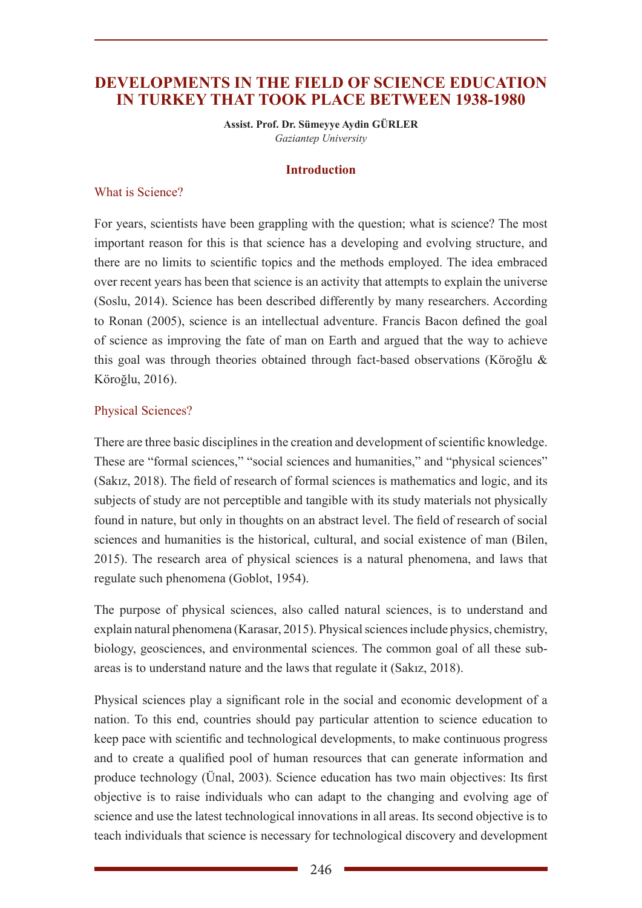# **DEVELOPMENTS IN THE FIELD OF SCIENCE EDUCATION IN TURKEY THAT TOOK PLACE BETWEEN 1938-1980**

**Assist. Prof. Dr. Sümeyye Aydin GÜRLER** *Gaziantep University*

#### **Introduction**

#### What is Science?

For years, scientists have been grappling with the question; what is science? The most important reason for this is that science has a developing and evolving structure, and there are no limits to scientific topics and the methods employed. The idea embraced over recent years has been that science is an activity that attempts to explain the universe (Soslu, 2014). Science has been described differently by many researchers. According to Ronan (2005), science is an intellectual adventure. Francis Bacon defined the goal of science as improving the fate of man on Earth and argued that the way to achieve this goal was through theories obtained through fact-based observations (Köroğlu & Köroğlu, 2016).

#### Physical Sciences?

There are three basic disciplines in the creation and development of scientific knowledge. These are "formal sciences," "social sciences and humanities," and "physical sciences" (Sakız, 2018). The field of research of formal sciences is mathematics and logic, and its subjects of study are not perceptible and tangible with its study materials not physically found in nature, but only in thoughts on an abstract level. The field of research of social sciences and humanities is the historical, cultural, and social existence of man (Bilen, 2015). The research area of physical sciences is a natural phenomena, and laws that regulate such phenomena (Goblot, 1954).

The purpose of physical sciences, also called natural sciences, is to understand and explain natural phenomena (Karasar, 2015). Physical sciences include physics, chemistry, biology, geosciences, and environmental sciences. The common goal of all these subareas is to understand nature and the laws that regulate it (Sakız, 2018).

Physical sciences play a significant role in the social and economic development of a nation. To this end, countries should pay particular attention to science education to keep pace with scientific and technological developments, to make continuous progress and to create a qualified pool of human resources that can generate information and produce technology (Ünal, 2003). Science education has two main objectives: Its first objective is to raise individuals who can adapt to the changing and evolving age of science and use the latest technological innovations in all areas. Its second objective is to teach individuals that science is necessary for technological discovery and development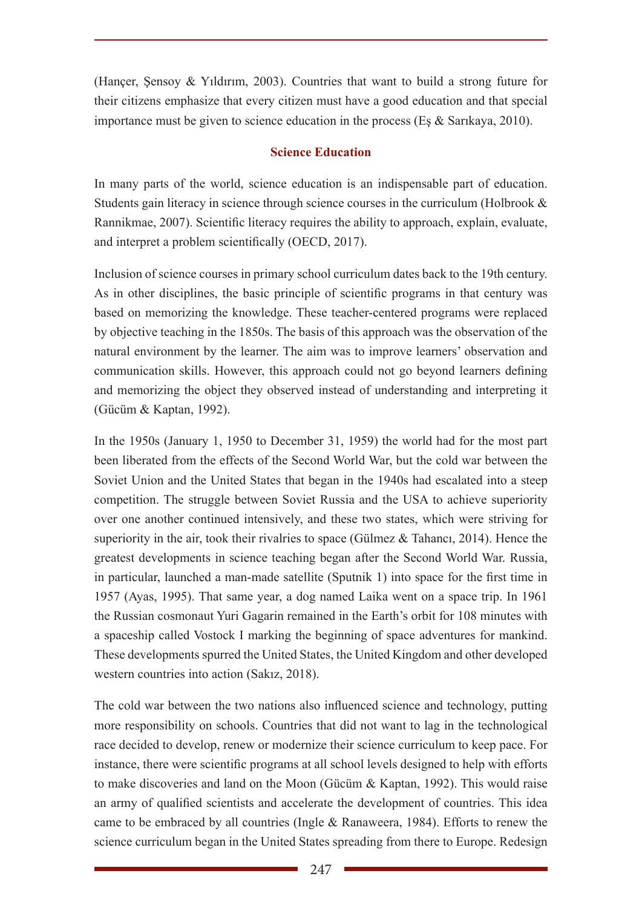(Hançer, Şensoy & Yıldırım, 2003). Countries that want to build a strong future for their citizens emphasize that every citizen must have a good education and that special importance must be given to science education in the process (Eş & Sarıkaya, 2010).

## **Science Education**

In many parts of the world, science education is an indispensable part of education. Students gain literacy in science through science courses in the curriculum (Holbrook & Rannikmae, 2007). Scientific literacy requires the ability to approach, explain, evaluate, and interpret a problem scientifically (OECD, 2017).

Inclusion of science courses in primary school curriculum dates back to the 19th century. As in other disciplines, the basic principle of scientific programs in that century was based on memorizing the knowledge. These teacher-centered programs were replaced by objective teaching in the 1850s. The basis of this approach was the observation of the natural environment by the learner. The aim was to improve learners' observation and communication skills. However, this approach could not go beyond learners defining and memorizing the object they observed instead of understanding and interpreting it (Gücüm & Kaptan, 1992).

In the 1950s (January 1, 1950 to December 31, 1959) the world had for the most part been liberated from the effects of the Second World War, but the cold war between the Soviet Union and the United States that began in the 1940s had escalated into a steep competition. The struggle between Soviet Russia and the USA to achieve superiority over one another continued intensively, and these two states, which were striving for superiority in the air, took their rivalries to space (Gülmez & Tahancı, 2014). Hence the greatest developments in science teaching began after the Second World War. Russia, in particular, launched a man-made satellite (Sputnik 1) into space for the first time in 1957 (Ayas, 1995). That same year, a dog named Laika went on a space trip. In 1961 the Russian cosmonaut Yuri Gagarin remained in the Earth's orbit for 108 minutes with a spaceship called Vostock I marking the beginning of space adventures for mankind. These developments spurred the United States, the United Kingdom and other developed western countries into action (Sakız, 2018).

The cold war between the two nations also influenced science and technology, putting more responsibility on schools. Countries that did not want to lag in the technological race decided to develop, renew or modernize their science curriculum to keep pace. For instance, there were scientific programs at all school levels designed to help with efforts to make discoveries and land on the Moon (Gücüm & Kaptan, 1992). This would raise an army of qualified scientists and accelerate the development of countries. This idea came to be embraced by all countries (Ingle & Ranaweera, 1984). Efforts to renew the science curriculum began in the United States spreading from there to Europe. Redesign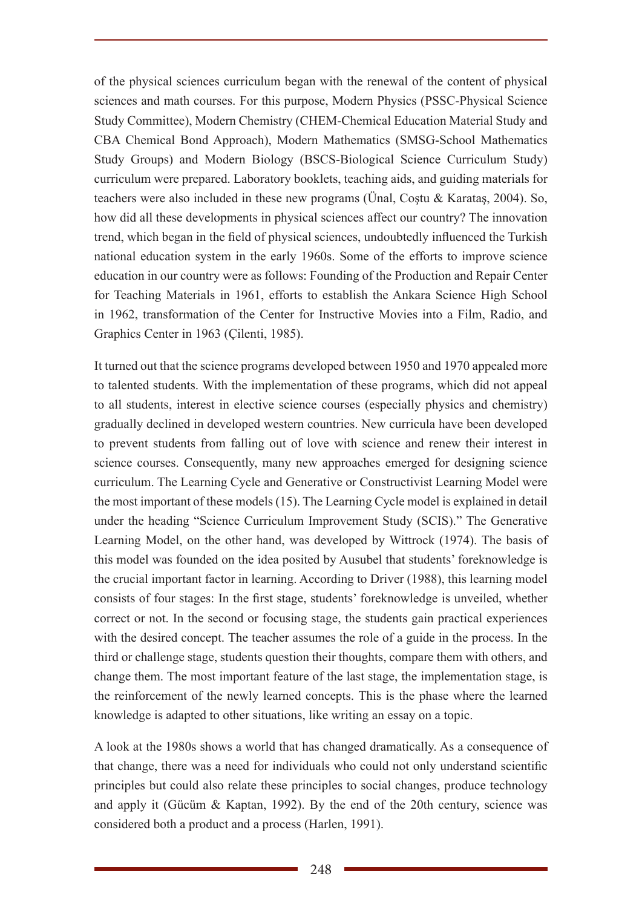of the physical sciences curriculum began with the renewal of the content of physical sciences and math courses. For this purpose, Modern Physics (PSSC-Physical Science Study Committee), Modern Chemistry (CHEM-Chemical Education Material Study and CBA Chemical Bond Approach), Modern Mathematics (SMSG-School Mathematics Study Groups) and Modern Biology (BSCS-Biological Science Curriculum Study) curriculum were prepared. Laboratory booklets, teaching aids, and guiding materials for teachers were also included in these new programs (Ünal, Coştu & Karataş, 2004). So, how did all these developments in physical sciences affect our country? The innovation trend, which began in the field of physical sciences, undoubtedly influenced the Turkish national education system in the early 1960s. Some of the efforts to improve science education in our country were as follows: Founding of the Production and Repair Center for Teaching Materials in 1961, efforts to establish the Ankara Science High School in 1962, transformation of the Center for Instructive Movies into a Film, Radio, and Graphics Center in 1963 (Çilenti, 1985).

It turned out that the science programs developed between 1950 and 1970 appealed more to talented students. With the implementation of these programs, which did not appeal to all students, interest in elective science courses (especially physics and chemistry) gradually declined in developed western countries. New curricula have been developed to prevent students from falling out of love with science and renew their interest in science courses. Consequently, many new approaches emerged for designing science curriculum. The Learning Cycle and Generative or Constructivist Learning Model were the most important of these models (15). The Learning Cycle model is explained in detail under the heading "Science Curriculum Improvement Study (SCIS)." The Generative Learning Model, on the other hand, was developed by Wittrock (1974). The basis of this model was founded on the idea posited by Ausubel that students' foreknowledge is the crucial important factor in learning. According to Driver (1988), this learning model consists of four stages: In the first stage, students' foreknowledge is unveiled, whether correct or not. In the second or focusing stage, the students gain practical experiences with the desired concept. The teacher assumes the role of a guide in the process. In the third or challenge stage, students question their thoughts, compare them with others, and change them. The most important feature of the last stage, the implementation stage, is the reinforcement of the newly learned concepts. This is the phase where the learned knowledge is adapted to other situations, like writing an essay on a topic.

A look at the 1980s shows a world that has changed dramatically. As a consequence of that change, there was a need for individuals who could not only understand scientific principles but could also relate these principles to social changes, produce technology and apply it (Gücüm & Kaptan, 1992). By the end of the 20th century, science was considered both a product and a process (Harlen, 1991).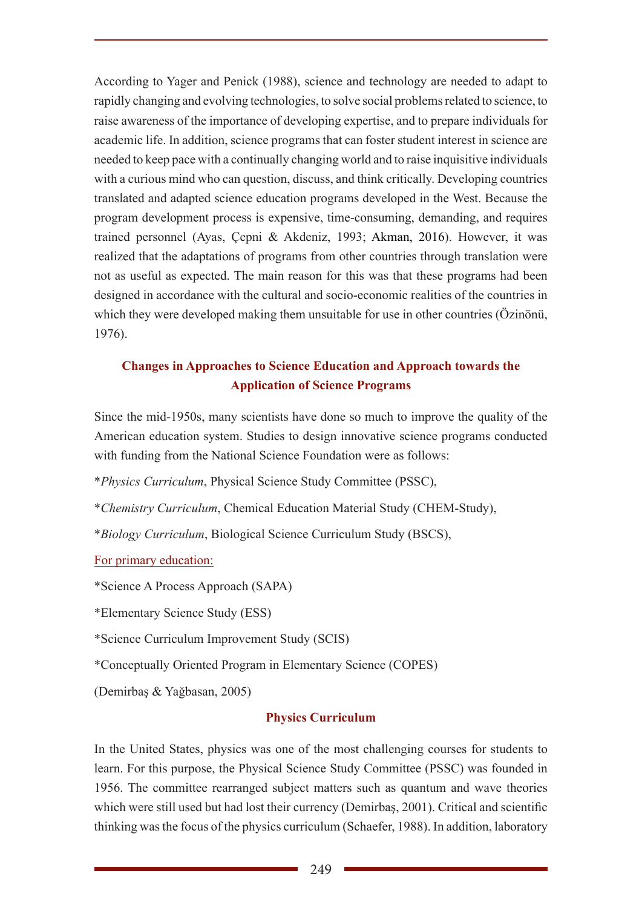According to Yager and Penick (1988), science and technology are needed to adapt to rapidly changing and evolving technologies, to solve social problems related to science, to raise awareness of the importance of developing expertise, and to prepare individuals for academic life. In addition, science programs that can foster student interest in science are needed to keep pace with a continually changing world and to raise inquisitive individuals with a curious mind who can question, discuss, and think critically. Developing countries translated and adapted science education programs developed in the West. Because the program development process is expensive, time-consuming, demanding, and requires trained personnel (Ayas, Çepni & Akdeniz, 1993; Akman, 2016). However, it was realized that the adaptations of programs from other countries through translation were not as useful as expected. The main reason for this was that these programs had been designed in accordance with the cultural and socio-economic realities of the countries in which they were developed making them unsuitable for use in other countries (Özinönü, 1976).

# **Changes in Approaches to Science Education and Approach towards the Application of Science Programs**

Since the mid-1950s, many scientists have done so much to improve the quality of the American education system. Studies to design innovative science programs conducted with funding from the National Science Foundation were as follows:

\**Physics Curriculum*, Physical Science Study Committee (PSSC),

\**Chemistry Curriculum*, Chemical Education Material Study (CHEM-Study),

\**Biology Curriculum*, Biological Science Curriculum Study (BSCS),

For primary education:

\*Science A Process Approach (SAPA)

\*Elementary Science Study (ESS)

\*Science Curriculum Improvement Study (SCIS)

\*Conceptually Oriented Program in Elementary Science (COPES)

(Demirbaş & Yağbasan, 2005)

# **Physics Curriculum**

In the United States, physics was one of the most challenging courses for students to learn. For this purpose, the Physical Science Study Committee (PSSC) was founded in 1956. The committee rearranged subject matters such as quantum and wave theories which were still used but had lost their currency (Demirbaş, 2001). Critical and scientific thinking was the focus of the physics curriculum (Schaefer, 1988). In addition, laboratory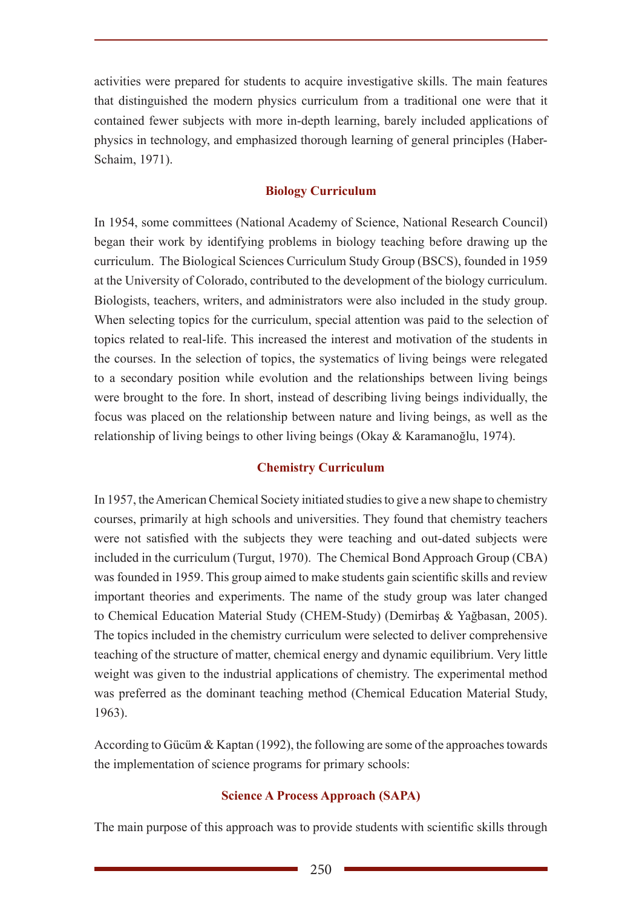activities were prepared for students to acquire investigative skills. The main features that distinguished the modern physics curriculum from a traditional one were that it contained fewer subjects with more in-depth learning, barely included applications of physics in technology, and emphasized thorough learning of general principles (Haber-Schaim, 1971).

## **Biology Curriculum**

In 1954, some committees (National Academy of Science, National Research Council) began their work by identifying problems in biology teaching before drawing up the curriculum. The Biological Sciences Curriculum Study Group (BSCS), founded in 1959 at the University of Colorado, contributed to the development of the biology curriculum. Biologists, teachers, writers, and administrators were also included in the study group. When selecting topics for the curriculum, special attention was paid to the selection of topics related to real-life. This increased the interest and motivation of the students in the courses. In the selection of topics, the systematics of living beings were relegated to a secondary position while evolution and the relationships between living beings were brought to the fore. In short, instead of describing living beings individually, the focus was placed on the relationship between nature and living beings, as well as the relationship of living beings to other living beings (Okay & Karamanoğlu, 1974).

#### **Chemistry Curriculum**

In 1957, the American Chemical Society initiated studies to give a new shape to chemistry courses, primarily at high schools and universities. They found that chemistry teachers were not satisfied with the subjects they were teaching and out-dated subjects were included in the curriculum (Turgut, 1970). The Chemical Bond Approach Group (CBA) was founded in 1959. This group aimed to make students gain scientific skills and review important theories and experiments. The name of the study group was later changed to Chemical Education Material Study (CHEM-Study) (Demirbaş & Yağbasan, 2005). The topics included in the chemistry curriculum were selected to deliver comprehensive teaching of the structure of matter, chemical energy and dynamic equilibrium. Very little weight was given to the industrial applications of chemistry. The experimental method was preferred as the dominant teaching method (Chemical Education Material Study, 1963).

According to Gücüm & Kaptan (1992), the following are some of the approaches towards the implementation of science programs for primary schools:

#### **Science A Process Approach (SAPA)**

The main purpose of this approach was to provide students with scientific skills through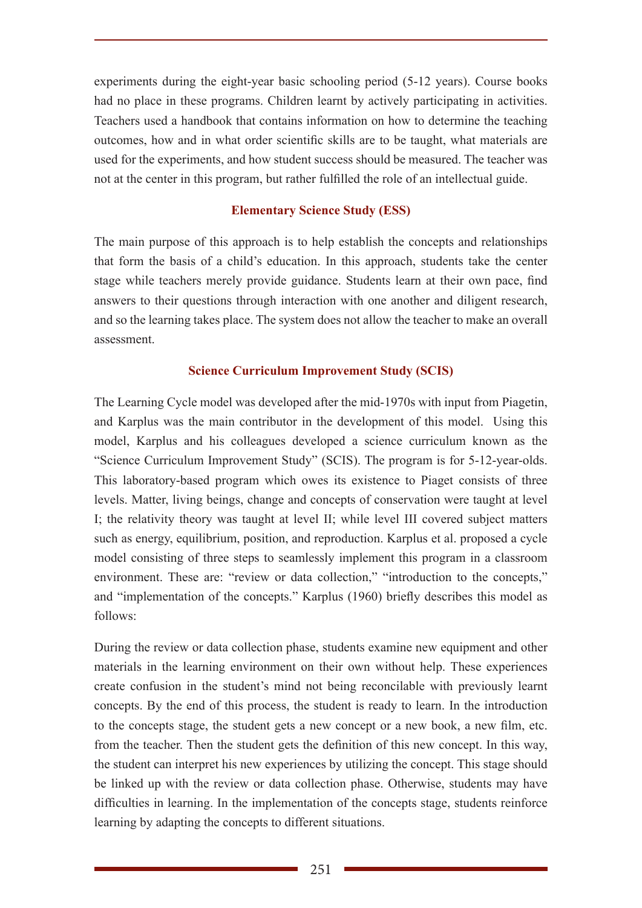experiments during the eight-year basic schooling period (5-12 years). Course books had no place in these programs. Children learnt by actively participating in activities. Teachers used a handbook that contains information on how to determine the teaching outcomes, how and in what order scientific skills are to be taught, what materials are used for the experiments, and how student success should be measured. The teacher was not at the center in this program, but rather fulfilled the role of an intellectual guide.

## **Elementary Science Study (ESS)**

The main purpose of this approach is to help establish the concepts and relationships that form the basis of a child's education. In this approach, students take the center stage while teachers merely provide guidance. Students learn at their own pace, find answers to their questions through interaction with one another and diligent research, and so the learning takes place. The system does not allow the teacher to make an overall assessment.

## **Science Curriculum Improvement Study (SCIS)**

The Learning Cycle model was developed after the mid-1970s with input from Piagetin, and Karplus was the main contributor in the development of this model. Using this model, Karplus and his colleagues developed a science curriculum known as the "Science Curriculum Improvement Study" (SCIS). The program is for 5-12-year-olds. This laboratory-based program which owes its existence to Piaget consists of three levels. Matter, living beings, change and concepts of conservation were taught at level I; the relativity theory was taught at level II; while level III covered subject matters such as energy, equilibrium, position, and reproduction. Karplus et al. proposed a cycle model consisting of three steps to seamlessly implement this program in a classroom environment. These are: "review or data collection," "introduction to the concepts," and "implementation of the concepts." Karplus (1960) briefly describes this model as follows:

During the review or data collection phase, students examine new equipment and other materials in the learning environment on their own without help. These experiences create confusion in the student's mind not being reconcilable with previously learnt concepts. By the end of this process, the student is ready to learn. In the introduction to the concepts stage, the student gets a new concept or a new book, a new film, etc. from the teacher. Then the student gets the definition of this new concept. In this way, the student can interpret his new experiences by utilizing the concept. This stage should be linked up with the review or data collection phase. Otherwise, students may have difficulties in learning. In the implementation of the concepts stage, students reinforce learning by adapting the concepts to different situations.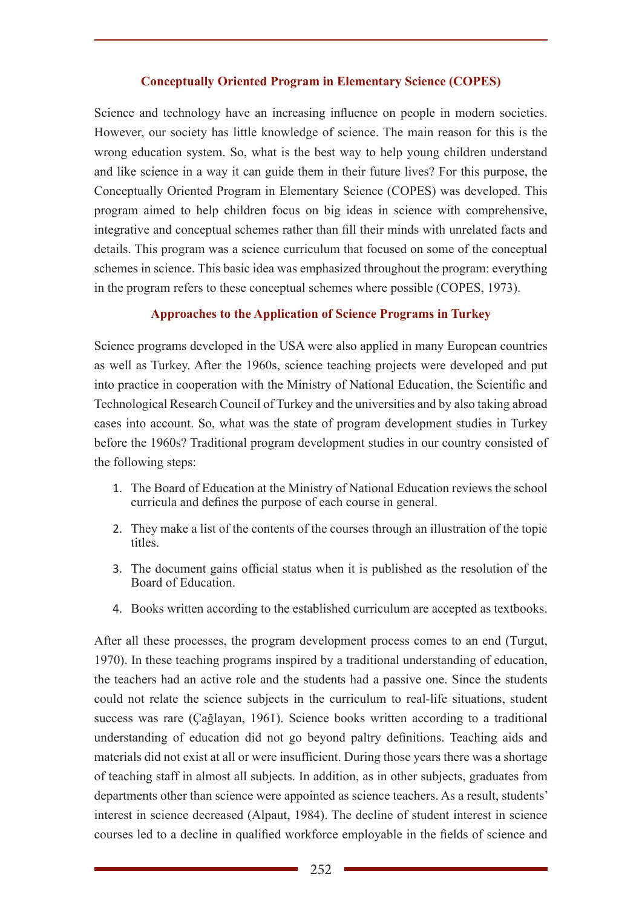## **Conceptually Oriented Program in Elementary Science (COPES)**

Science and technology have an increasing influence on people in modern societies. However, our society has little knowledge of science. The main reason for this is the wrong education system. So, what is the best way to help young children understand and like science in a way it can guide them in their future lives? For this purpose, the Conceptually Oriented Program in Elementary Science (COPES) was developed. This program aimed to help children focus on big ideas in science with comprehensive, integrative and conceptual schemes rather than fill their minds with unrelated facts and details. This program was a science curriculum that focused on some of the conceptual schemes in science. This basic idea was emphasized throughout the program: everything in the program refers to these conceptual schemes where possible (COPES, 1973).

## **Approaches to the Application of Science Programs in Turkey**

Science programs developed in the USA were also applied in many European countries as well as Turkey. After the 1960s, science teaching projects were developed and put into practice in cooperation with the Ministry of National Education, the Scientific and Technological Research Council of Turkey and the universities and by also taking abroad cases into account. So, what was the state of program development studies in Turkey before the 1960s? Traditional program development studies in our country consisted of the following steps:

- 1. The Board of Education at the Ministry of National Education reviews the school curricula and defines the purpose of each course in general.
- 2. They make a list of the contents of the courses through an illustration of the topic titles.
- 3. The document gains official status when it is published as the resolution of the Board of Education.
- 4. Books written according to the established curriculum are accepted as textbooks.

After all these processes, the program development process comes to an end (Turgut, 1970). In these teaching programs inspired by a traditional understanding of education, the teachers had an active role and the students had a passive one. Since the students could not relate the science subjects in the curriculum to real-life situations, student success was rare (Çağlayan, 1961). Science books written according to a traditional understanding of education did not go beyond paltry definitions. Teaching aids and materials did not exist at all or were insufficient. During those years there was a shortage of teaching staff in almost all subjects. In addition, as in other subjects, graduates from departments other than science were appointed as science teachers. As a result, students' interest in science decreased (Alpaut, 1984). The decline of student interest in science courses led to a decline in qualified workforce employable in the fields of science and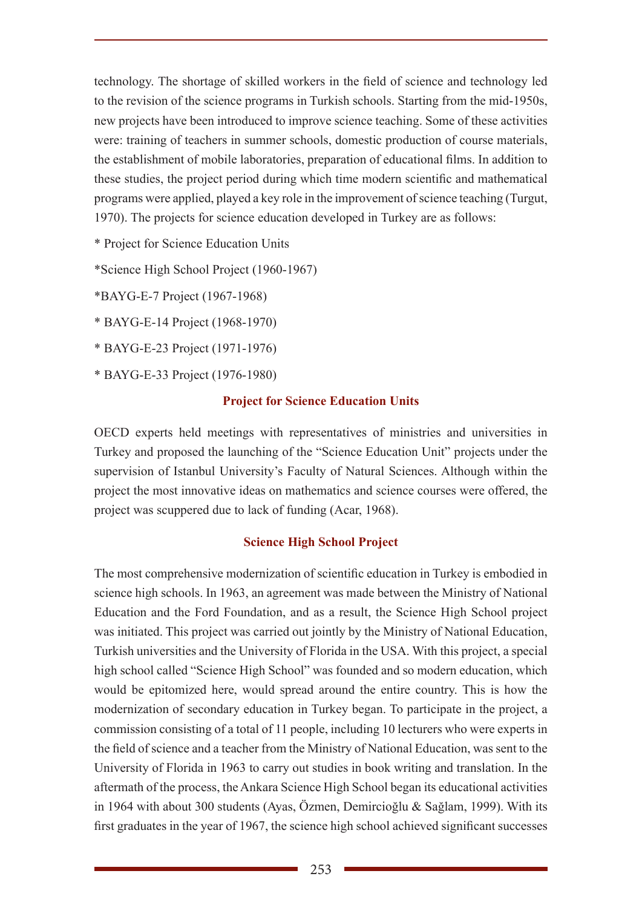technology. The shortage of skilled workers in the field of science and technology led to the revision of the science programs in Turkish schools. Starting from the mid-1950s, new projects have been introduced to improve science teaching. Some of these activities were: training of teachers in summer schools, domestic production of course materials, the establishment of mobile laboratories, preparation of educational films. In addition to these studies, the project period during which time modern scientific and mathematical programs were applied, played a key role in the improvement of science teaching (Turgut, 1970). The projects for science education developed in Turkey are as follows:

\* Project for Science Education Units

\*Science High School Project (1960-1967)

\*BAYG-E-7 Project (1967-1968)

\* BAYG-E-14 Project (1968-1970)

\* BAYG-E-23 Project (1971-1976)

\* BAYG-E-33 Project (1976-1980)

## **Project for Science Education Units**

OECD experts held meetings with representatives of ministries and universities in Turkey and proposed the launching of the "Science Education Unit" projects under the supervision of Istanbul University's Faculty of Natural Sciences. Although within the project the most innovative ideas on mathematics and science courses were offered, the project was scuppered due to lack of funding (Acar, 1968).

## **Science High School Project**

The most comprehensive modernization of scientific education in Turkey is embodied in science high schools. In 1963, an agreement was made between the Ministry of National Education and the Ford Foundation, and as a result, the Science High School project was initiated. This project was carried out jointly by the Ministry of National Education, Turkish universities and the University of Florida in the USA. With this project, a special high school called "Science High School" was founded and so modern education, which would be epitomized here, would spread around the entire country. This is how the modernization of secondary education in Turkey began. To participate in the project, a commission consisting of a total of 11 people, including 10 lecturers who were experts in the field of science and a teacher from the Ministry of National Education, was sent to the University of Florida in 1963 to carry out studies in book writing and translation. In the aftermath of the process, the Ankara Science High School began its educational activities in 1964 with about 300 students (Ayas, Özmen, Demircioğlu & Sağlam, 1999). With its first graduates in the year of 1967, the science high school achieved significant successes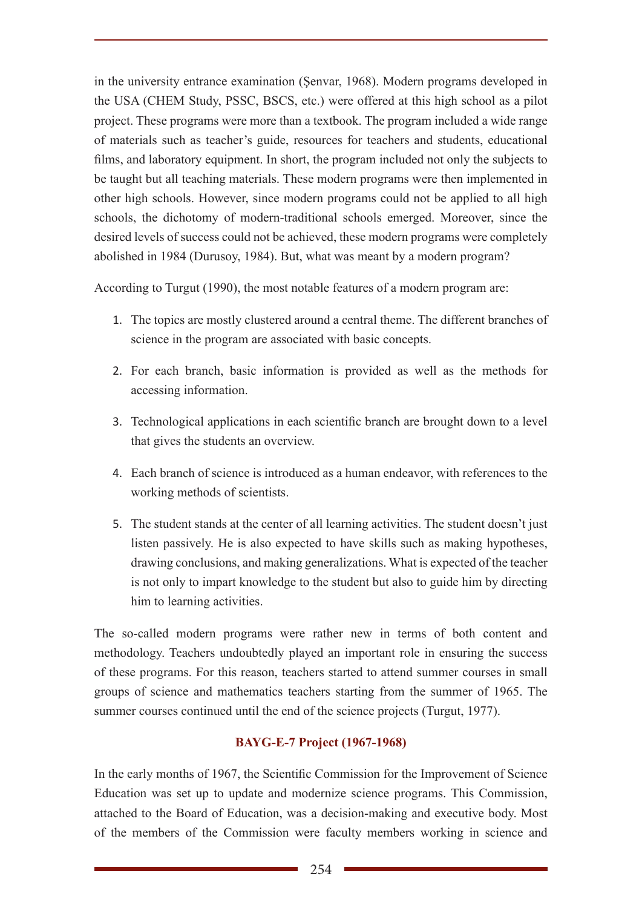in the university entrance examination (Şenvar, 1968). Modern programs developed in the USA (CHEM Study, PSSC, BSCS, etc.) were offered at this high school as a pilot project. These programs were more than a textbook. The program included a wide range of materials such as teacher's guide, resources for teachers and students, educational films, and laboratory equipment. In short, the program included not only the subjects to be taught but all teaching materials. These modern programs were then implemented in other high schools. However, since modern programs could not be applied to all high schools, the dichotomy of modern-traditional schools emerged. Moreover, since the desired levels of success could not be achieved, these modern programs were completely abolished in 1984 (Durusoy, 1984). But, what was meant by a modern program?

According to Turgut (1990), the most notable features of a modern program are:

- 1. The topics are mostly clustered around a central theme. The different branches of science in the program are associated with basic concepts.
- 2. For each branch, basic information is provided as well as the methods for accessing information.
- 3. Technological applications in each scientific branch are brought down to a level that gives the students an overview.
- 4. Each branch of science is introduced as a human endeavor, with references to the working methods of scientists.
- 5. The student stands at the center of all learning activities. The student doesn't just listen passively. He is also expected to have skills such as making hypotheses, drawing conclusions, and making generalizations. What is expected of the teacher is not only to impart knowledge to the student but also to guide him by directing him to learning activities.

The so-called modern programs were rather new in terms of both content and methodology. Teachers undoubtedly played an important role in ensuring the success of these programs. For this reason, teachers started to attend summer courses in small groups of science and mathematics teachers starting from the summer of 1965. The summer courses continued until the end of the science projects (Turgut, 1977).

# **BAYG-E-7 Project (1967-1968)**

In the early months of 1967, the Scientific Commission for the Improvement of Science Education was set up to update and modernize science programs. This Commission, attached to the Board of Education, was a decision-making and executive body. Most of the members of the Commission were faculty members working in science and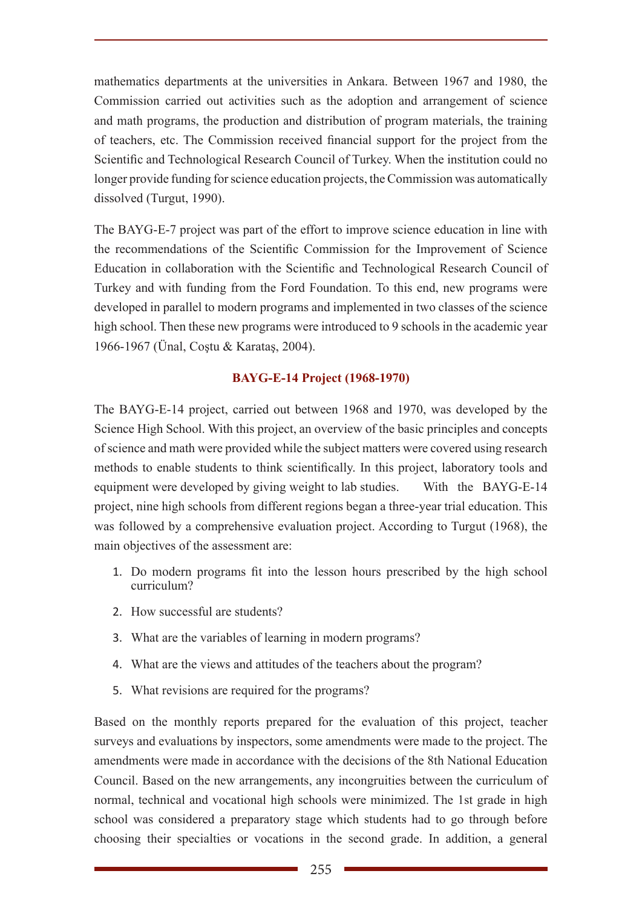mathematics departments at the universities in Ankara. Between 1967 and 1980, the Commission carried out activities such as the adoption and arrangement of science and math programs, the production and distribution of program materials, the training of teachers, etc. The Commission received financial support for the project from the Scientific and Technological Research Council of Turkey. When the institution could no longer provide funding for science education projects, the Commission was automatically dissolved (Turgut, 1990).

The BAYG-E-7 project was part of the effort to improve science education in line with the recommendations of the Scientific Commission for the Improvement of Science Education in collaboration with the Scientific and Technological Research Council of Turkey and with funding from the Ford Foundation. To this end, new programs were developed in parallel to modern programs and implemented in two classes of the science high school. Then these new programs were introduced to 9 schools in the academic year 1966-1967 (Ünal, Coştu & Karataş, 2004).

# **BAYG-E-14 Project (1968-1970)**

The BAYG-E-14 project, carried out between 1968 and 1970, was developed by the Science High School. With this project, an overview of the basic principles and concepts of science and math were provided while the subject matters were covered using research methods to enable students to think scientifically. In this project, laboratory tools and equipment were developed by giving weight to lab studies. With the BAYG-E-14 project, nine high schools from different regions began a three-year trial education. This was followed by a comprehensive evaluation project. According to Turgut (1968), the main objectives of the assessment are:

- 1. Do modern programs fit into the lesson hours prescribed by the high school curriculum?
- 2. How successful are students?
- 3. What are the variables of learning in modern programs?
- 4. What are the views and attitudes of the teachers about the program?
- 5. What revisions are required for the programs?

Based on the monthly reports prepared for the evaluation of this project, teacher surveys and evaluations by inspectors, some amendments were made to the project. The amendments were made in accordance with the decisions of the 8th National Education Council. Based on the new arrangements, any incongruities between the curriculum of normal, technical and vocational high schools were minimized. The 1st grade in high school was considered a preparatory stage which students had to go through before choosing their specialties or vocations in the second grade. In addition, a general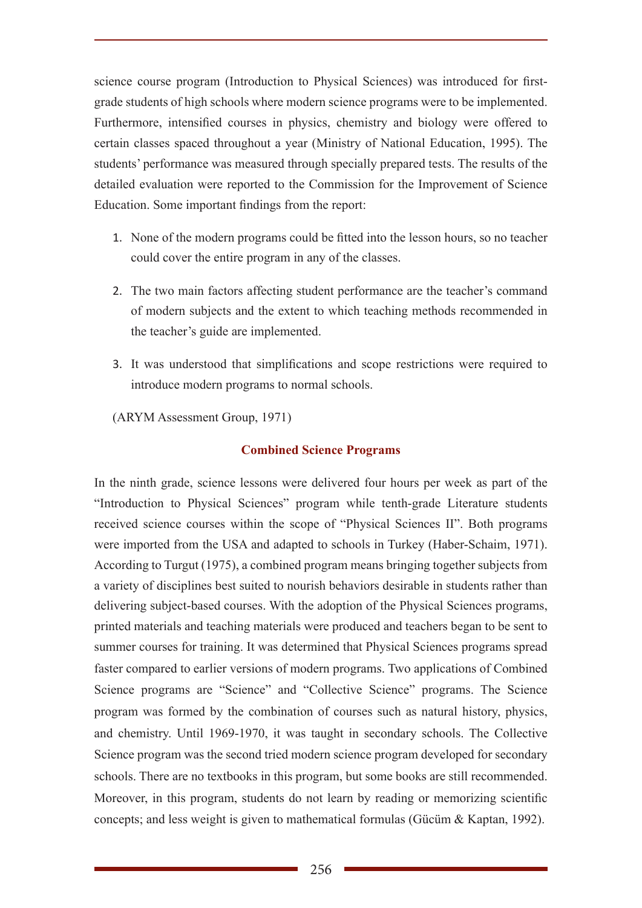science course program (Introduction to Physical Sciences) was introduced for firstgrade students of high schools where modern science programs were to be implemented. Furthermore, intensified courses in physics, chemistry and biology were offered to certain classes spaced throughout a year (Ministry of National Education, 1995). The students' performance was measured through specially prepared tests. The results of the detailed evaluation were reported to the Commission for the Improvement of Science Education. Some important findings from the report:

- 1. None of the modern programs could be fitted into the lesson hours, so no teacher could cover the entire program in any of the classes.
- 2. The two main factors affecting student performance are the teacher's command of modern subjects and the extent to which teaching methods recommended in the teacher's guide are implemented.
- 3. It was understood that simplifications and scope restrictions were required to introduce modern programs to normal schools.

(ARYM Assessment Group, 1971)

#### **Combined Science Programs**

In the ninth grade, science lessons were delivered four hours per week as part of the "Introduction to Physical Sciences" program while tenth-grade Literature students received science courses within the scope of "Physical Sciences II". Both programs were imported from the USA and adapted to schools in Turkey (Haber-Schaim, 1971). According to Turgut (1975), a combined program means bringing together subjects from a variety of disciplines best suited to nourish behaviors desirable in students rather than delivering subject-based courses. With the adoption of the Physical Sciences programs, printed materials and teaching materials were produced and teachers began to be sent to summer courses for training. It was determined that Physical Sciences programs spread faster compared to earlier versions of modern programs. Two applications of Combined Science programs are "Science" and "Collective Science" programs. The Science program was formed by the combination of courses such as natural history, physics, and chemistry. Until 1969-1970, it was taught in secondary schools. The Collective Science program was the second tried modern science program developed for secondary schools. There are no textbooks in this program, but some books are still recommended. Moreover, in this program, students do not learn by reading or memorizing scientific concepts; and less weight is given to mathematical formulas (Gücüm & Kaptan, 1992).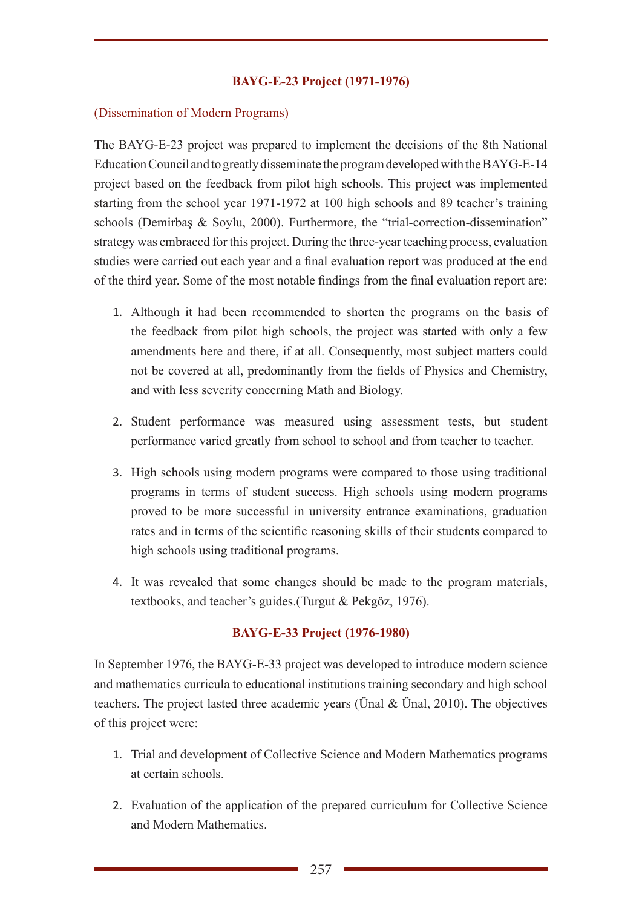## **BAYG-E-23 Project (1971-1976)**

#### (Dissemination of Modern Programs)

The BAYG-E-23 project was prepared to implement the decisions of the 8th National Education Council and to greatly disseminate the program developed with the BAYG-E-14 project based on the feedback from pilot high schools. This project was implemented starting from the school year 1971-1972 at 100 high schools and 89 teacher's training schools (Demirbaş & Soylu, 2000). Furthermore, the "trial-correction-dissemination" strategy was embraced for this project. During the three-year teaching process, evaluation studies were carried out each year and a final evaluation report was produced at the end of the third year. Some of the most notable findings from the final evaluation report are:

- 1. Although it had been recommended to shorten the programs on the basis of the feedback from pilot high schools, the project was started with only a few amendments here and there, if at all. Consequently, most subject matters could not be covered at all, predominantly from the fields of Physics and Chemistry, and with less severity concerning Math and Biology.
- 2. Student performance was measured using assessment tests, but student performance varied greatly from school to school and from teacher to teacher.
- 3. High schools using modern programs were compared to those using traditional programs in terms of student success. High schools using modern programs proved to be more successful in university entrance examinations, graduation rates and in terms of the scientific reasoning skills of their students compared to high schools using traditional programs.
- 4. It was revealed that some changes should be made to the program materials, textbooks, and teacher's guides.(Turgut & Pekgöz, 1976).

## **BAYG-E-33 Project (1976-1980)**

In September 1976, the BAYG-E-33 project was developed to introduce modern science and mathematics curricula to educational institutions training secondary and high school teachers. The project lasted three academic years (Ünal & Ünal, 2010). The objectives of this project were:

- 1. Trial and development of Collective Science and Modern Mathematics programs at certain schools.
- 2. Evaluation of the application of the prepared curriculum for Collective Science and Modern Mathematics.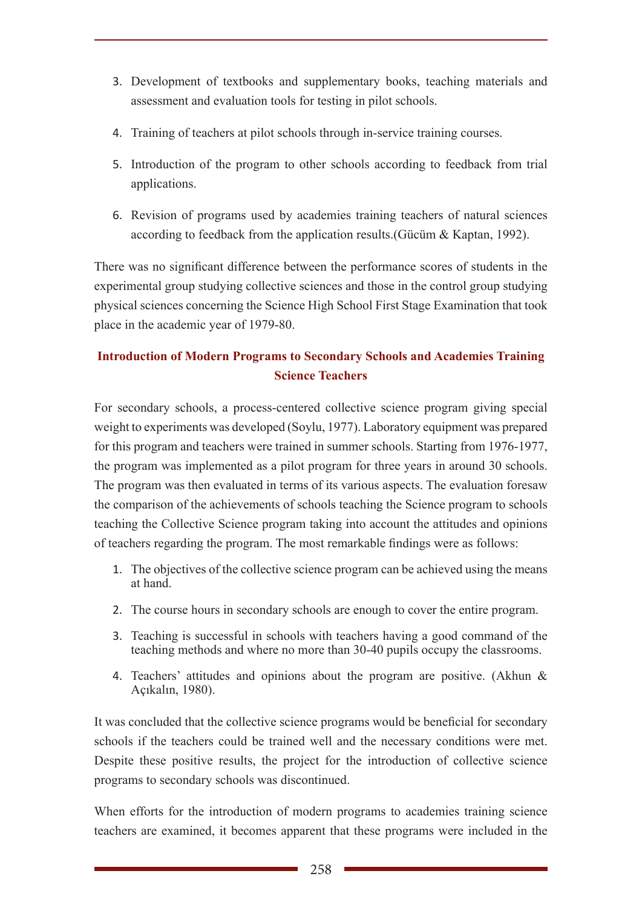- 3. Development of textbooks and supplementary books, teaching materials and assessment and evaluation tools for testing in pilot schools.
- 4. Training of teachers at pilot schools through in-service training courses.
- 5. Introduction of the program to other schools according to feedback from trial applications.
- 6. Revision of programs used by academies training teachers of natural sciences according to feedback from the application results.(Gücüm & Kaptan, 1992).

There was no significant difference between the performance scores of students in the experimental group studying collective sciences and those in the control group studying physical sciences concerning the Science High School First Stage Examination that took place in the academic year of 1979-80.

# **Introduction of Modern Programs to Secondary Schools and Academies Training Science Teachers**

For secondary schools, a process-centered collective science program giving special weight to experiments was developed (Soylu, 1977). Laboratory equipment was prepared for this program and teachers were trained in summer schools. Starting from 1976-1977, the program was implemented as a pilot program for three years in around 30 schools. The program was then evaluated in terms of its various aspects. The evaluation foresaw the comparison of the achievements of schools teaching the Science program to schools teaching the Collective Science program taking into account the attitudes and opinions of teachers regarding the program. The most remarkable findings were as follows:

- 1. The objectives of the collective science program can be achieved using the means at hand.
- 2. The course hours in secondary schools are enough to cover the entire program.
- 3. Teaching is successful in schools with teachers having a good command of the teaching methods and where no more than 30-40 pupils occupy the classrooms.
- 4. Teachers' attitudes and opinions about the program are positive. (Akhun & Açıkalın, 1980).

It was concluded that the collective science programs would be beneficial for secondary schools if the teachers could be trained well and the necessary conditions were met. Despite these positive results, the project for the introduction of collective science programs to secondary schools was discontinued.

When efforts for the introduction of modern programs to academies training science teachers are examined, it becomes apparent that these programs were included in the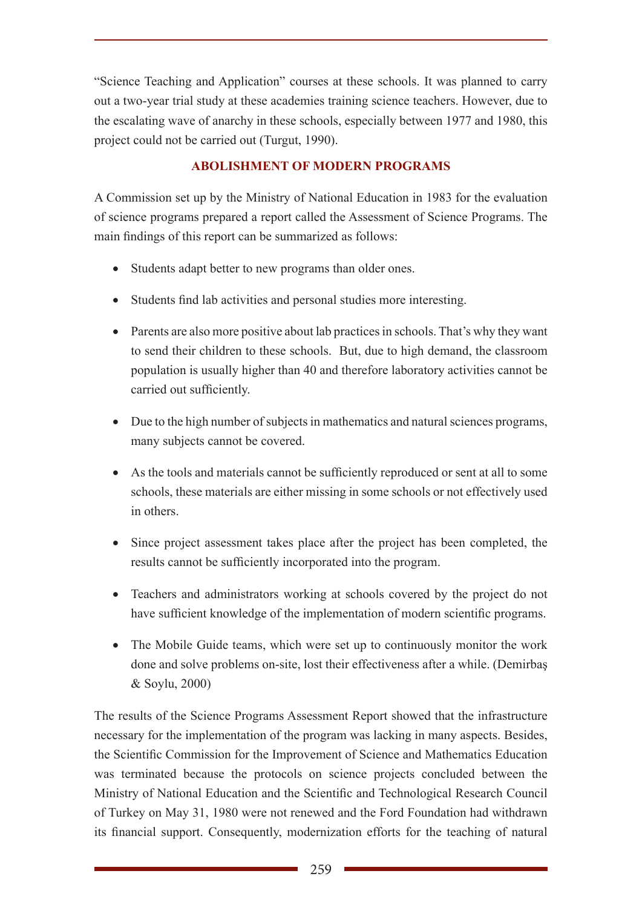"Science Teaching and Application" courses at these schools. It was planned to carry out a two-year trial study at these academies training science teachers. However, due to the escalating wave of anarchy in these schools, especially between 1977 and 1980, this project could not be carried out (Turgut, 1990).

# **ABOLISHMENT OF MODERN PROGRAMS**

A Commission set up by the Ministry of National Education in 1983 for the evaluation of science programs prepared a report called the Assessment of Science Programs. The main findings of this report can be summarized as follows:

- Students adapt better to new programs than older ones.
- Students find lab activities and personal studies more interesting.
- Parents are also more positive about lab practices in schools. That's why they want to send their children to these schools. But, due to high demand, the classroom population is usually higher than 40 and therefore laboratory activities cannot be carried out sufficiently.
- Due to the high number of subjects in mathematics and natural sciences programs, many subjects cannot be covered.
- As the tools and materials cannot be sufficiently reproduced or sent at all to some schools, these materials are either missing in some schools or not effectively used in others.
- Since project assessment takes place after the project has been completed, the results cannot be sufficiently incorporated into the program.
- Teachers and administrators working at schools covered by the project do not have sufficient knowledge of the implementation of modern scientific programs.
- The Mobile Guide teams, which were set up to continuously monitor the work done and solve problems on-site, lost their effectiveness after a while. (Demirbaş & Soylu, 2000)

The results of the Science Programs Assessment Report showed that the infrastructure necessary for the implementation of the program was lacking in many aspects. Besides, the Scientific Commission for the Improvement of Science and Mathematics Education was terminated because the protocols on science projects concluded between the Ministry of National Education and the Scientific and Technological Research Council of Turkey on May 31, 1980 were not renewed and the Ford Foundation had withdrawn its financial support. Consequently, modernization efforts for the teaching of natural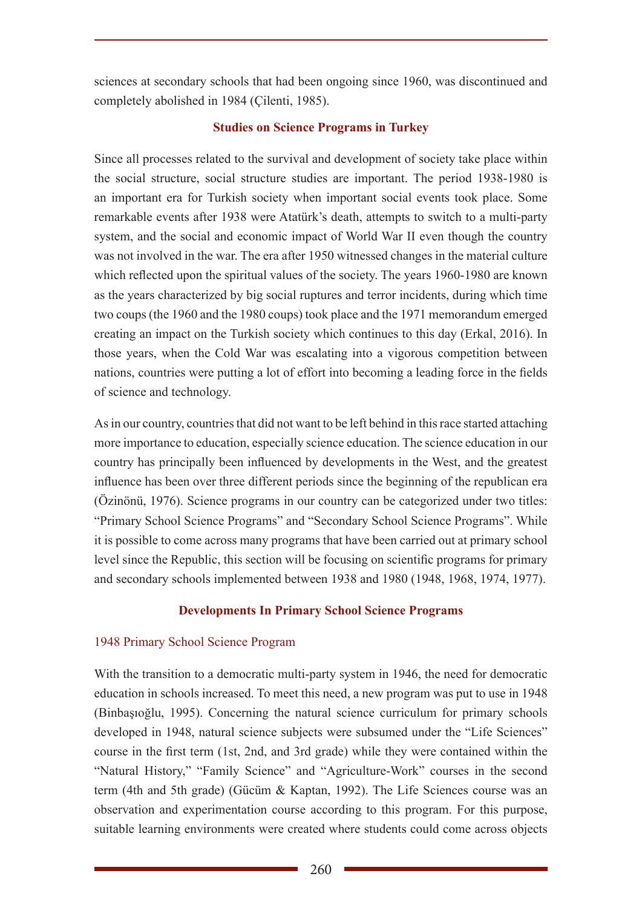sciences at secondary schools that had been ongoing since 1960, was discontinued and completely abolished in 1984 (Çilenti, 1985).

## **Studies on Science Programs in Turkey**

Since all processes related to the survival and development of society take place within the social structure, social structure studies are important. The period 1938-1980 is an important era for Turkish society when important social events took place. Some remarkable events after 1938 were Atatürk's death, attempts to switch to a multi-party system, and the social and economic impact of World War II even though the country was not involved in the war. The era after 1950 witnessed changes in the material culture which reflected upon the spiritual values of the society. The years 1960-1980 are known as the years characterized by big social ruptures and terror incidents, during which time two coups (the 1960 and the 1980 coups) took place and the 1971 memorandum emerged creating an impact on the Turkish society which continues to this day (Erkal, 2016). In those years, when the Cold War was escalating into a vigorous competition between nations, countries were putting a lot of effort into becoming a leading force in the fields of science and technology.

As in our country, countries that did not want to be left behind in this race started attaching more importance to education, especially science education. The science education in our country has principally been influenced by developments in the West, and the greatest influence has been over three different periods since the beginning of the republican era (Özinönü, 1976). Science programs in our country can be categorized under two titles: "Primary School Science Programs" and "Secondary School Science Programs". While it is possible to come across many programs that have been carried out at primary school level since the Republic, this section will be focusing on scientific programs for primary and secondary schools implemented between 1938 and 1980 (1948, 1968, 1974, 1977).

# **Developments In Primary School Science Programs**

# 1948 Primary School Science Program

With the transition to a democratic multi-party system in 1946, the need for democratic education in schools increased. To meet this need, a new program was put to use in 1948 (Binbaşıoğlu, 1995). Concerning the natural science curriculum for primary schools developed in 1948, natural science subjects were subsumed under the "Life Sciences" course in the first term (1st, 2nd, and 3rd grade) while they were contained within the "Natural History," "Family Science" and "Agriculture-Work" courses in the second term (4th and 5th grade) (Gücüm & Kaptan, 1992). The Life Sciences course was an observation and experimentation course according to this program. For this purpose, suitable learning environments were created where students could come across objects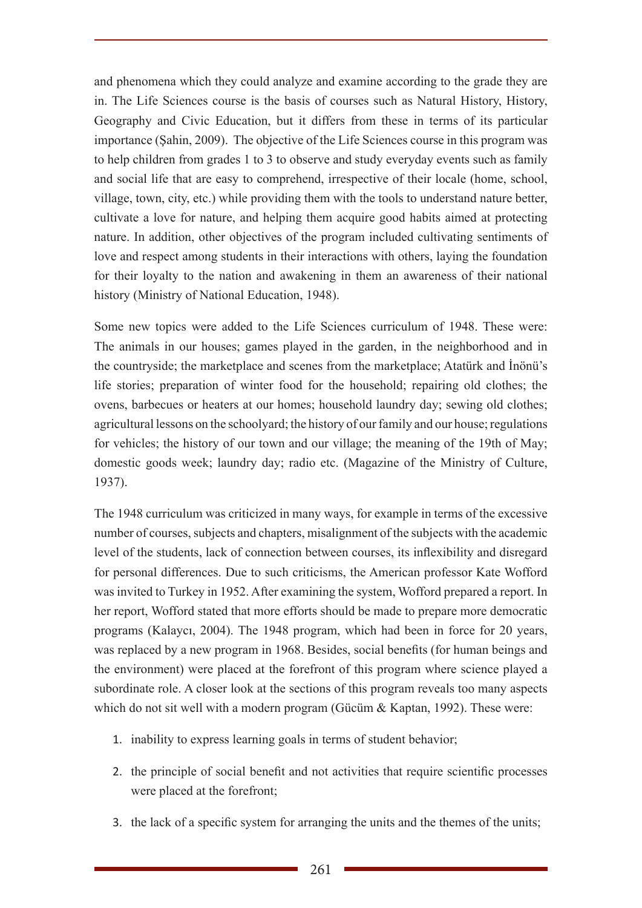and phenomena which they could analyze and examine according to the grade they are in. The Life Sciences course is the basis of courses such as Natural History, History, Geography and Civic Education, but it differs from these in terms of its particular importance (Şahin, 2009). The objective of the Life Sciences course in this program was to help children from grades 1 to 3 to observe and study everyday events such as family and social life that are easy to comprehend, irrespective of their locale (home, school, village, town, city, etc.) while providing them with the tools to understand nature better, cultivate a love for nature, and helping them acquire good habits aimed at protecting nature. In addition, other objectives of the program included cultivating sentiments of love and respect among students in their interactions with others, laying the foundation for their loyalty to the nation and awakening in them an awareness of their national history (Ministry of National Education, 1948).

Some new topics were added to the Life Sciences curriculum of 1948. These were: The animals in our houses; games played in the garden, in the neighborhood and in the countryside; the marketplace and scenes from the marketplace; Atatürk and İnönü's life stories; preparation of winter food for the household; repairing old clothes; the ovens, barbecues or heaters at our homes; household laundry day; sewing old clothes; agricultural lessons on the schoolyard; the history of our family and our house; regulations for vehicles; the history of our town and our village; the meaning of the 19th of May; domestic goods week; laundry day; radio etc. (Magazine of the Ministry of Culture, 1937).

The 1948 curriculum was criticized in many ways, for example in terms of the excessive number of courses, subjects and chapters, misalignment of the subjects with the academic level of the students, lack of connection between courses, its inflexibility and disregard for personal differences. Due to such criticisms, the American professor Kate Wofford was invited to Turkey in 1952. After examining the system, Wofford prepared a report. In her report, Wofford stated that more efforts should be made to prepare more democratic programs (Kalaycı, 2004). The 1948 program, which had been in force for 20 years, was replaced by a new program in 1968. Besides, social benefits (for human beings and the environment) were placed at the forefront of this program where science played a subordinate role. A closer look at the sections of this program reveals too many aspects which do not sit well with a modern program (Gücüm & Kaptan, 1992). These were:

- 1. inability to express learning goals in terms of student behavior;
- 2. the principle of social benefit and not activities that require scientific processes were placed at the forefront;
- 3. the lack of a specific system for arranging the units and the themes of the units;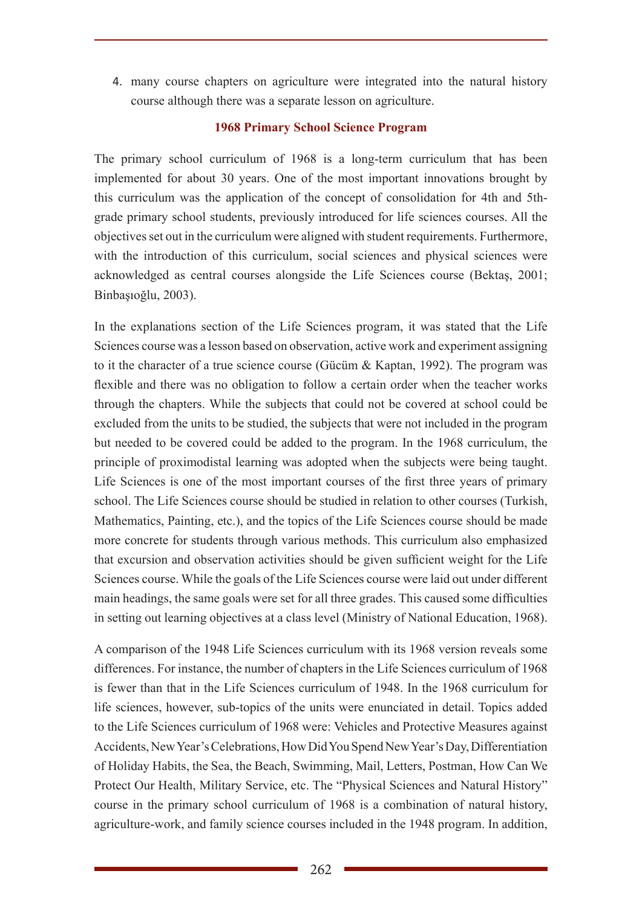4. many course chapters on agriculture were integrated into the natural history course although there was a separate lesson on agriculture.

#### **1968 Primary School Science Program**

The primary school curriculum of 1968 is a long-term curriculum that has been implemented for about 30 years. One of the most important innovations brought by this curriculum was the application of the concept of consolidation for 4th and 5thgrade primary school students, previously introduced for life sciences courses. All the objectives set out in the curriculum were aligned with student requirements. Furthermore, with the introduction of this curriculum, social sciences and physical sciences were acknowledged as central courses alongside the Life Sciences course (Bektaş, 2001; Binbaşıoğlu, 2003).

In the explanations section of the Life Sciences program, it was stated that the Life Sciences course was a lesson based on observation, active work and experiment assigning to it the character of a true science course (Gücüm & Kaptan, 1992). The program was flexible and there was no obligation to follow a certain order when the teacher works through the chapters. While the subjects that could not be covered at school could be excluded from the units to be studied, the subjects that were not included in the program but needed to be covered could be added to the program. In the 1968 curriculum, the principle of proximodistal learning was adopted when the subjects were being taught. Life Sciences is one of the most important courses of the first three years of primary school. The Life Sciences course should be studied in relation to other courses (Turkish, Mathematics, Painting, etc.), and the topics of the Life Sciences course should be made more concrete for students through various methods. This curriculum also emphasized that excursion and observation activities should be given sufficient weight for the Life Sciences course. While the goals of the Life Sciences course were laid out under different main headings, the same goals were set for all three grades. This caused some difficulties in setting out learning objectives at a class level (Ministry of National Education, 1968).

A comparison of the 1948 Life Sciences curriculum with its 1968 version reveals some differences. For instance, the number of chapters in the Life Sciences curriculum of 1968 is fewer than that in the Life Sciences curriculum of 1948. In the 1968 curriculum for life sciences, however, sub-topics of the units were enunciated in detail. Topics added to the Life Sciences curriculum of 1968 were: Vehicles and Protective Measures against Accidents, New Year's Celebrations, How Did You Spend New Year's Day, Differentiation of Holiday Habits, the Sea, the Beach, Swimming, Mail, Letters, Postman, How Can We Protect Our Health, Military Service, etc. The "Physical Sciences and Natural History" course in the primary school curriculum of 1968 is a combination of natural history, agriculture-work, and family science courses included in the 1948 program. In addition,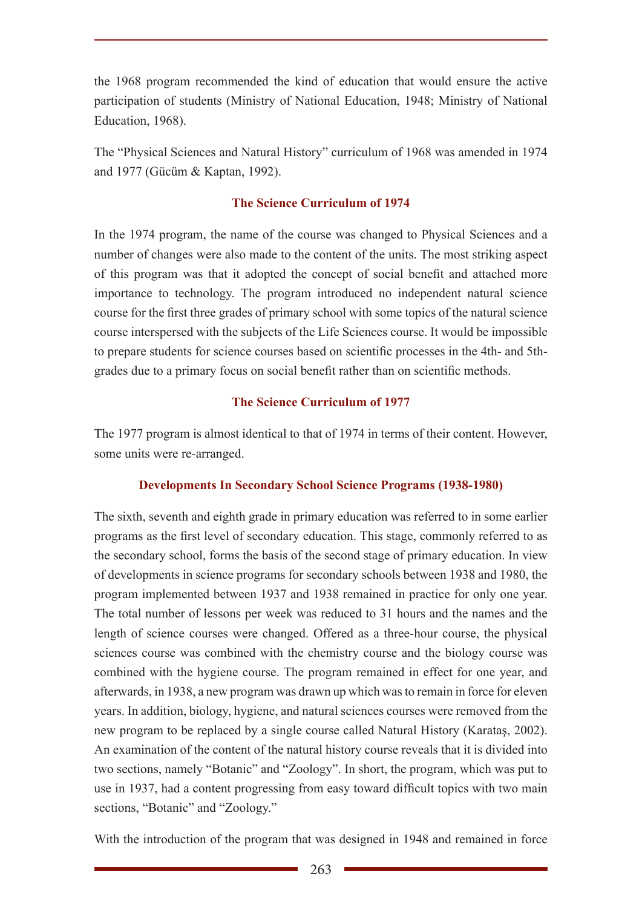the 1968 program recommended the kind of education that would ensure the active participation of students (Ministry of National Education, 1948; Ministry of National Education, 1968).

The "Physical Sciences and Natural History" curriculum of 1968 was amended in 1974 and 1977 (Gücüm & Kaptan, 1992).

## **The Science Curriculum of 1974**

In the 1974 program, the name of the course was changed to Physical Sciences and a number of changes were also made to the content of the units. The most striking aspect of this program was that it adopted the concept of social benefit and attached more importance to technology. The program introduced no independent natural science course for the first three grades of primary school with some topics of the natural science course interspersed with the subjects of the Life Sciences course. It would be impossible to prepare students for science courses based on scientific processes in the 4th- and 5thgrades due to a primary focus on social benefit rather than on scientific methods.

## **The Science Curriculum of 1977**

The 1977 program is almost identical to that of 1974 in terms of their content. However, some units were re-arranged.

# **Developments In Secondary School Science Programs (1938-1980)**

The sixth, seventh and eighth grade in primary education was referred to in some earlier programs as the first level of secondary education. This stage, commonly referred to as the secondary school, forms the basis of the second stage of primary education. In view of developments in science programs for secondary schools between 1938 and 1980, the program implemented between 1937 and 1938 remained in practice for only one year. The total number of lessons per week was reduced to 31 hours and the names and the length of science courses were changed. Offered as a three-hour course, the physical sciences course was combined with the chemistry course and the biology course was combined with the hygiene course. The program remained in effect for one year, and afterwards, in 1938, a new program was drawn up which was to remain in force for eleven years. In addition, biology, hygiene, and natural sciences courses were removed from the new program to be replaced by a single course called Natural History (Karataş, 2002). An examination of the content of the natural history course reveals that it is divided into two sections, namely "Botanic" and "Zoology". In short, the program, which was put to use in 1937, had a content progressing from easy toward difficult topics with two main sections, "Botanic" and "Zoology."

With the introduction of the program that was designed in 1948 and remained in force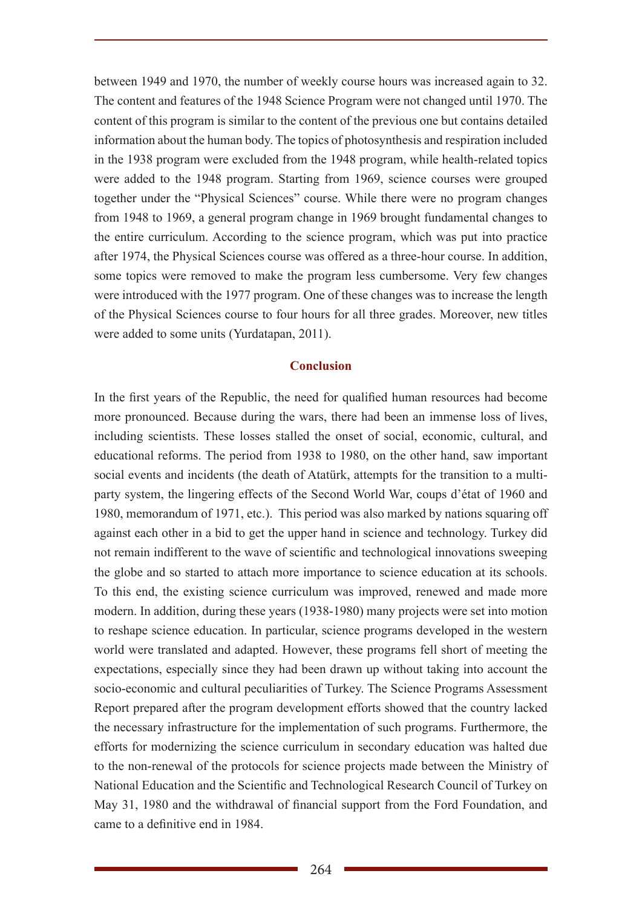between 1949 and 1970, the number of weekly course hours was increased again to 32. The content and features of the 1948 Science Program were not changed until 1970. The content of this program is similar to the content of the previous one but contains detailed information about the human body. The topics of photosynthesis and respiration included in the 1938 program were excluded from the 1948 program, while health-related topics were added to the 1948 program. Starting from 1969, science courses were grouped together under the "Physical Sciences" course. While there were no program changes from 1948 to 1969, a general program change in 1969 brought fundamental changes to the entire curriculum. According to the science program, which was put into practice after 1974, the Physical Sciences course was offered as a three-hour course. In addition, some topics were removed to make the program less cumbersome. Very few changes were introduced with the 1977 program. One of these changes was to increase the length of the Physical Sciences course to four hours for all three grades. Moreover, new titles were added to some units (Yurdatapan, 2011).

#### **Conclusion**

In the first years of the Republic, the need for qualified human resources had become more pronounced. Because during the wars, there had been an immense loss of lives, including scientists. These losses stalled the onset of social, economic, cultural, and educational reforms. The period from 1938 to 1980, on the other hand, saw important social events and incidents (the death of Atatürk, attempts for the transition to a multiparty system, the lingering effects of the Second World War, coups d'état of 1960 and 1980, memorandum of 1971, etc.). This period was also marked by nations squaring off against each other in a bid to get the upper hand in science and technology. Turkey did not remain indifferent to the wave of scientific and technological innovations sweeping the globe and so started to attach more importance to science education at its schools. To this end, the existing science curriculum was improved, renewed and made more modern. In addition, during these years (1938-1980) many projects were set into motion to reshape science education. In particular, science programs developed in the western world were translated and adapted. However, these programs fell short of meeting the expectations, especially since they had been drawn up without taking into account the socio-economic and cultural peculiarities of Turkey. The Science Programs Assessment Report prepared after the program development efforts showed that the country lacked the necessary infrastructure for the implementation of such programs. Furthermore, the efforts for modernizing the science curriculum in secondary education was halted due to the non-renewal of the protocols for science projects made between the Ministry of National Education and the Scientific and Technological Research Council of Turkey on May 31, 1980 and the withdrawal of financial support from the Ford Foundation, and came to a definitive end in 1984.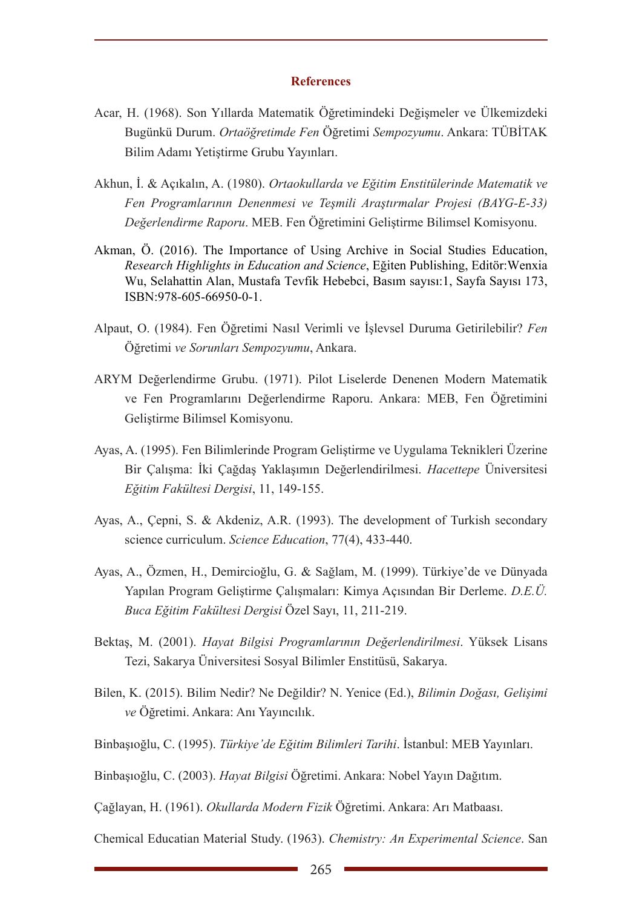#### **References**

- Acar, H. (1968). Son Yıllarda Matematik Öğretimindeki Değişmeler ve Ülkemizdeki Bugünkü Durum. *Ortaöğretimde Fen* Öğretimi *Sempozyumu*. Ankara: TÜBİTAK Bilim Adamı Yetiştirme Grubu Yayınları.
- Akhun, İ. & Açıkalın, A. (1980). *Ortaokullarda ve Eğitim Enstitülerinde Matematik ve Fen Programlarının Denenmesi ve Teşmili Araştırmalar Projesi (BAYG-E-33) Değerlendirme Raporu*. MEB. Fen Öğretimini Geliştirme Bilimsel Komisyonu.
- Akman, Ö. (2016). The Importance of Using Archive in Social Studies Education, *Research Highlights in Education and Science*, Eğiten Publishing, Editör:Wenxia Wu, Selahattin Alan, Mustafa Tevfik Hebebci, Basım sayısı:1, Sayfa Sayısı 173, ISBN:978-605-66950-0-1.
- Alpaut, O. (1984). Fen Öğretimi Nasıl Verimli ve İşlevsel Duruma Getirilebilir? *Fen*  Öğretimi *ve Sorunları Sempozyumu*, Ankara.
- ARYM Değerlendirme Grubu. (1971). Pilot Liselerde Denenen Modern Matematik ve Fen Programlarını Değerlendirme Raporu. Ankara: MEB, Fen Öğretimini Geliştirme Bilimsel Komisyonu.
- Ayas, A. (1995). Fen Bilimlerinde Program Geliştirme ve Uygulama Teknikleri Üzerine Bir Çalışma: İki Çağdaş Yaklaşımın Değerlendirilmesi. *Hacettepe* Üniversitesi *Eğitim Fakültesi Dergisi*, 11, 149-155.
- Ayas, A., Çepni, S. & Akdeniz, A.R. (1993). The development of Turkish secondary science curriculum. *Science Education*, 77(4), 433-440.
- Ayas, A., Özmen, H., Demircioğlu, G. & Sağlam, M. (1999). Türkiye'de ve Dünyada Yapılan Program Geliştirme Çalışmaları: Kimya Açısından Bir Derleme. *D.E.Ü. Buca Eğitim Fakültesi Dergisi* Özel Sayı, 11, 211-219.
- Bektaş, M. (2001). *Hayat Bilgisi Programlarının Değerlendirilmesi*. Yüksek Lisans Tezi, Sakarya Üniversitesi Sosyal Bilimler Enstitüsü, Sakarya.
- Bilen, K. (2015). Bilim Nedir? Ne Değildir? N. Yenice (Ed.), *Bilimin Doğası, Gelişimi ve* Öğretimi. Ankara: Anı Yayıncılık.
- Binbaşıoğlu, C. (1995). *Türkiye'de Eğitim Bilimleri Tarihi*. İstanbul: MEB Yayınları.
- Binbaşıoğlu, C. (2003). *Hayat Bilgisi* Öğretimi. Ankara: Nobel Yayın Dağıtım.

Çağlayan, H. (1961). *Okullarda Modern Fizik* Öğretimi. Ankara: Arı Matbaası.

Chemical Educatian Material Study. (1963). *Chemistry: An Experimental Science*. San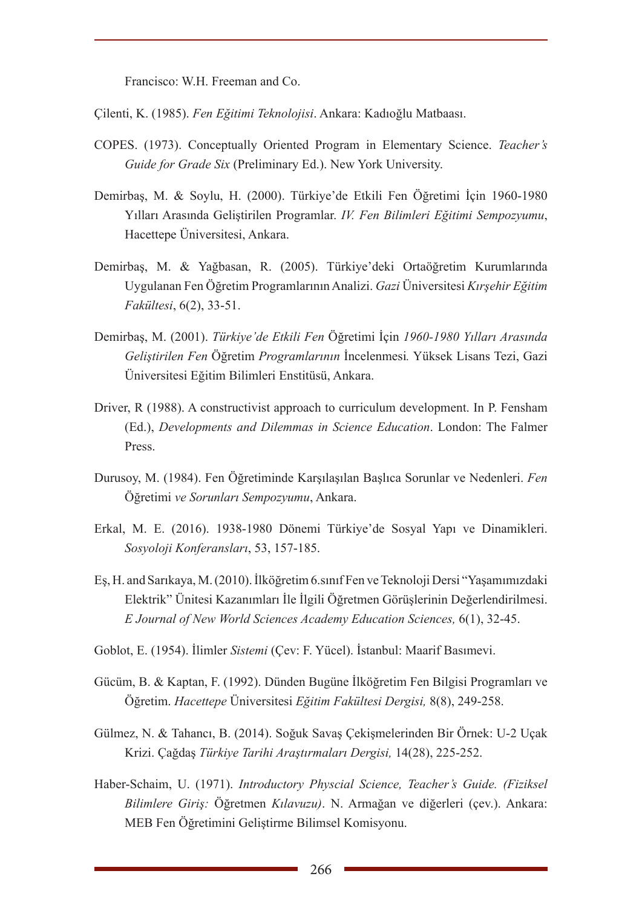Francisco: W.H. Freeman and Co.

Çilenti, K. (1985). *Fen Eğitimi Teknolojisi*. Ankara: Kadıoğlu Matbaası.

- COPES. (1973). Conceptually Oriented Program in Elementary Science. *Teacher's Guide for Grade Six* (Preliminary Ed.). New York University.
- Demirbaş, M. & Soylu, H. (2000). Türkiye'de Etkili Fen Öğretimi İçin 1960-1980 Yılları Arasında Geliştirilen Programlar. *IV. Fen Bilimleri Eğitimi Sempozyumu*, Hacettepe Üniversitesi, Ankara.
- Demirbaş, M. & Yağbasan, R. (2005). Türkiye'deki Ortaöğretim Kurumlarında Uygulanan Fen Öğretim Programlarının Analizi. *Gazi* Üniversitesi *Kırşehir Eğitim Fakültesi*, 6(2), 33-51.
- Demirbaş, M. (2001). *Türkiye'de Etkili Fen* Öğretimi İçin *1960-1980 Yılları Arasında Geliştirilen Fen* Öğretim *Programlarının* İncelenmesi*.* Yüksek Lisans Tezi, Gazi Üniversitesi Eğitim Bilimleri Enstitüsü, Ankara.
- Driver, R (1988). A constructivist approach to curriculum development. In P. Fensham (Ed.), *Developments and Dilemmas in Science Education*. London: The Falmer Press.
- Durusoy, M. (1984). Fen Öğretiminde Karşılaşılan Başlıca Sorunlar ve Nedenleri. *Fen*  Öğretimi *ve Sorunları Sempozyumu*, Ankara.
- Erkal, M. E. (2016). 1938-1980 Dönemi Türkiye'de Sosyal Yapı ve Dinamikleri. *Sosyoloji Konferansları*, 53, 157-185.
- Eş, H. and Sarıkaya, M. (2010). İlköğretim 6.sınıf Fen ve Teknoloji Dersi "Yaşamımızdaki Elektrik" Ünitesi Kazanımları İle İlgili Öğretmen Görüşlerinin Değerlendirilmesi. *E Journal of New World Sciences Academy Education Sciences,* 6(1), 32-45.
- Goblot, E. (1954). İlimler *Sistemi* (Çev: F. Yücel). İstanbul: Maarif Basımevi.
- Gücüm, B. & Kaptan, F. (1992). Dünden Bugüne İlköğretim Fen Bilgisi Programları ve Öğretim. *Hacettepe* Üniversitesi *Eğitim Fakültesi Dergisi,* 8(8), 249-258.
- Gülmez, N. & Tahancı, B. (2014). Soğuk Savaş Çekişmelerinden Bir Örnek: U-2 Uçak Krizi. Çağdaş *Türkiye Tarihi Araştırmaları Dergisi,* 14(28), 225-252.
- Haber-Schaim, U. (1971). *Introductory Physcial Science, Teacher's Guide. (Fiziksel Bilimlere Giriş:* Öğretmen *Kılavuzu)*. N. Armağan ve diğerleri (çev.). Ankara: MEB Fen Öğretimini Geliştirme Bilimsel Komisyonu.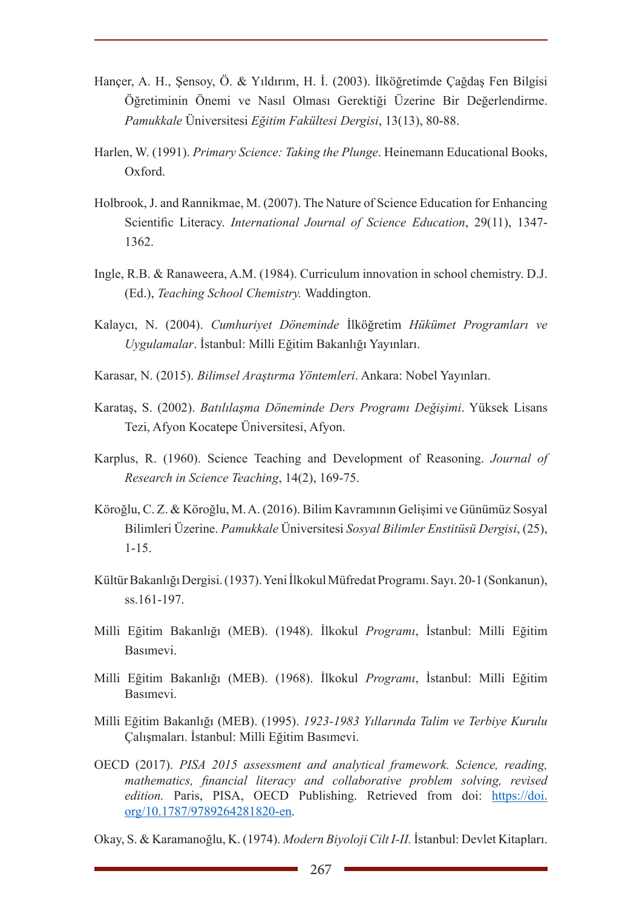- Hançer, A. H., Şensoy, Ö. & Yıldırım, H. İ. (2003). İlköğretimde Çağdaş Fen Bilgisi Öğretiminin Önemi ve Nasıl Olması Gerektiği Üzerine Bir Değerlendirme. *Pamukkale* Üniversitesi *Eğitim Fakültesi Dergisi*, 13(13), 80-88.
- Harlen, W. (1991). *Primary Science: Taking the Plunge*. Heinemann Educational Books, Oxford.
- Holbrook, J. and Rannikmae, M. (2007). The Nature of Science Education for Enhancing Scientific Literacy. *International Journal of Science Education*, 29(11), 1347- 1362.
- Ingle, R.B. & Ranaweera, A.M. (1984). Curriculum innovation in school chemistry. D.J. (Ed.), *Teaching School Chemistry.* Waddington.
- Kalaycı, N. (2004). *Cumhuriyet Döneminde* İlköğretim *Hükümet Programları ve Uygulamalar*. İstanbul: Milli Eğitim Bakanlığı Yayınları.
- Karasar, N. (2015). *Bilimsel Araştırma Yöntemleri*. Ankara: Nobel Yayınları.
- Karataş, S. (2002). *Batılılaşma Döneminde Ders Programı Değişimi*. Yüksek Lisans Tezi, Afyon Kocatepe Üniversitesi, Afyon.
- Karplus, R. (1960). Science Teaching and Development of Reasoning. *Journal of Research in Science Teaching*, 14(2), 169-75.
- Köroğlu, C. Z. & Köroğlu, M. A. (2016). Bilim Kavramının Gelişimi ve Günümüz Sosyal Bilimleri Üzerine. *Pamukkale* Üniversitesi *Sosyal Bilimler Enstitüsü Dergisi*, (25), 1-15.
- Kültür Bakanlığı Dergisi. (1937). Yeni İlkokul Müfredat Programı. Sayı. 20-1 (Sonkanun), ss.161-197.
- Milli Eğitim Bakanlığı (MEB). (1948). İlkokul *Programı*, İstanbul: Milli Eğitim Basımevi.
- Milli Eğitim Bakanlığı (MEB). (1968). İlkokul *Programı*, İstanbul: Milli Eğitim Basımevi.
- Milli Eğitim Bakanlığı (MEB). (1995). *1923-1983 Yıllarında Talim ve Terbiye Kurulu*  Çalışmaları. İstanbul: Milli Eğitim Basımevi.
- OECD (2017). *PISA 2015 assessment and analytical framework. Science, reading, mathematics, financial literacy and collaborative problem solving, revised edition.* Paris, PISA, OECD Publishing. Retrieved from doi: https://doi. org/10.1787/9789264281820-en.
- Okay, S. & Karamanoğlu, K. (1974). *Modern Biyoloji Cilt I-II.* İstanbul: Devlet Kitapları.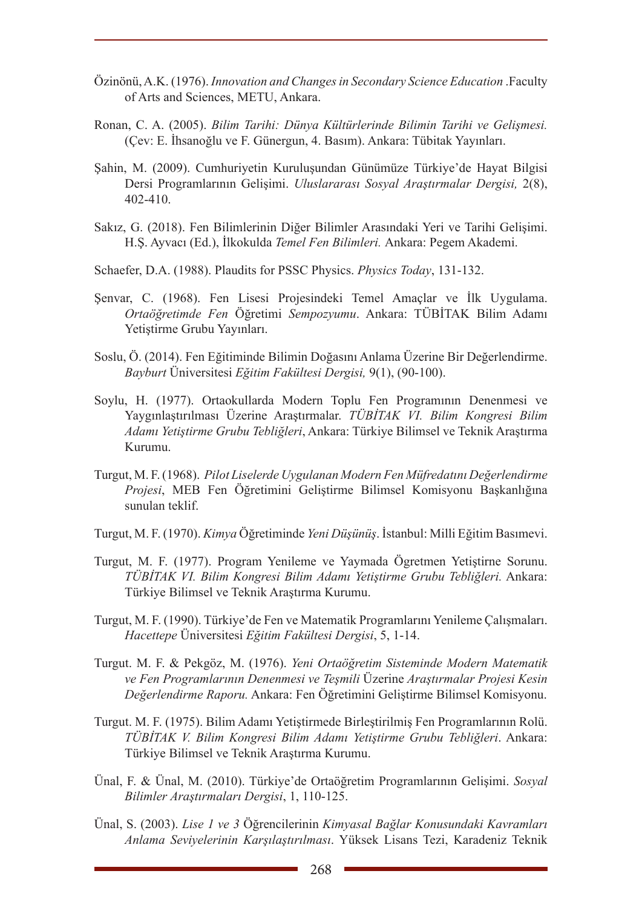- Özinönü, A.K. (1976). *Innovation and Changes in Secondary Science Education* .Faculty of Arts and Sciences, METU, Ankara.
- Ronan, C. A. (2005). *Bilim Tarihi: Dünya Kültürlerinde Bilimin Tarihi ve Gelişmesi.* (Çev: E. İhsanoğlu ve F. Günergun, 4. Basım). Ankara: Tübitak Yayınları.
- Şahin, M. (2009). Cumhuriyetin Kuruluşundan Günümüze Türkiye'de Hayat Bilgisi Dersi Programlarının Gelişimi. *Uluslararası Sosyal Araştırmalar Dergisi,* 2(8), 402-410.
- Sakız, G. (2018). Fen Bilimlerinin Diğer Bilimler Arasındaki Yeri ve Tarihi Gelişimi. H.Ş. Ayvacı (Ed.), İlkokulda *Temel Fen Bilimleri.* Ankara: Pegem Akademi.
- Schaefer, D.A. (1988). Plaudits for PSSC Physics. *Physics Today*, 131-132.
- Şenvar, C. (1968). Fen Lisesi Projesindeki Temel Amaçlar ve İlk Uygulama. *Ortaöğretimde Fen* Öğretimi *Sempozyumu*. Ankara: TÜBİTAK Bilim Adamı Yetiştirme Grubu Yayınları.
- Soslu, Ö. (2014). Fen Eğitiminde Bilimin Doğasını Anlama Üzerine Bir Değerlendirme. *Bayburt* Üniversitesi *Eğitim Fakültesi Dergisi,* 9(1), (90-100).
- Soylu, H. (1977). Ortaokullarda Modern Toplu Fen Programının Denenmesi ve Yaygınlaştırılması Üzerine Araştırmalar. *TÜBİTAK VI. Bilim Kongresi Bilim Adamı Yetiştirme Grubu Tebliğleri*, Ankara: Türkiye Bilimsel ve Teknik Araştırma Kurumu.
- Turgut, M. F. (1968). *Pilot Liselerde Uygulanan Modern Fen Müfredatını Değerlendirme Projesi*, MEB Fen Öğretimini Geliştirme Bilimsel Komisyonu Başkanlığına sunulan teklif.
- Turgut, M. F. (1970). *Kimya* Öğretiminde *Yeni Düşünüş*. İstanbul: Milli Eğitim Basımevi.
- Turgut, M. F. (1977). Program Yenileme ve Yaymada Ögretmen Yetiştirne Sorunu. *TÜBİTAK VI. Bilim Kongresi Bilim Adamı Yetiştirme Grubu Tebliğleri.* Ankara: Türkiye Bilimsel ve Teknik Araştırma Kurumu.
- Turgut, M. F. (1990). Türkiye'de Fen ve Matematik Programlarını Yenileme Çalışmaları. *Hacettepe* Üniversitesi *Eğitim Fakültesi Dergisi*, 5, 1-14.
- Turgut. M. F. & Pekgöz, M. (1976). *Yeni Ortaöğretim Sisteminde Modern Matematik ve Fen Programlarının Denenmesi ve Teşmili* Üzerine *Araştırmalar Projesi Kesin Değerlendirme Raporu.* Ankara: Fen Öğretimini Geliştirme Bilimsel Komisyonu.
- Turgut. M. F. (1975). Bilim Adamı Yetiştirmede Birleştirilmiş Fen Programlarının Rolü. *TÜBİTAK V. Bilim Kongresi Bilim Adamı Yetiştirme Grubu Tebliğleri*. Ankara: Türkiye Bilimsel ve Teknik Araştırma Kurumu.
- Ünal, F. & Ünal, M. (2010). Türkiye'de Ortaöğretim Programlarının Gelişimi. *Sosyal Bilimler Araştırmaları Dergisi*, 1, 110-125.
- Ünal, S. (2003). *Lise 1 ve 3* Öğrencilerinin *Kimyasal Bağlar Konusundaki Kavramları Anlama Seviyelerinin Karşılaştırılması*. Yüksek Lisans Tezi, Karadeniz Teknik